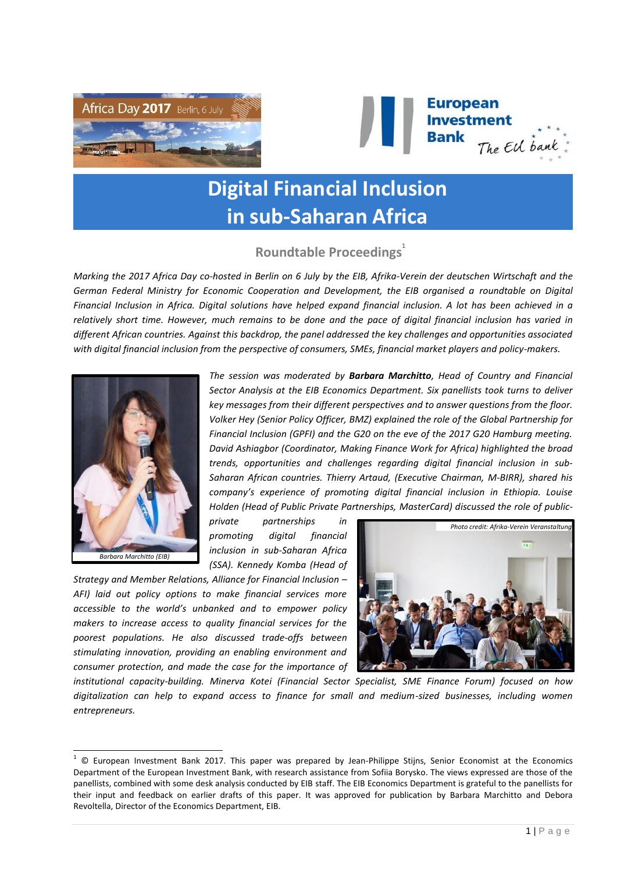



# **Digital Financial Inclusion in sub-Saharan Africa**

# **Roundtable Proceedings<sup>1</sup>**

*Marking the 2017 Africa Day co-hosted in Berlin on 6 July by the EIB, Afrika-Verein der deutschen Wirtschaft and the German Federal Ministry for Economic Cooperation and Development, the EIB organised a roundtable on Digital Financial Inclusion in Africa. Digital solutions have helped expand financial inclusion. A lot has been achieved in a relatively short time. However, much remains to be done and the pace of digital financial inclusion has varied in different African countries. Against this backdrop, the panel addressed the key challenges and opportunities associated with digital financial inclusion from the perspective of consumers, SMEs, financial market players and policy-makers.*



l

*The session was moderated by Barbara Marchitto, Head of Country and Financial Sector Analysis at the EIB Economics Department. Six panellists took turns to deliver key messages from their different perspectives and to answer questions from the floor. Volker Hey (Senior Policy Officer, BMZ) explained the role of the Global Partnership for Financial Inclusion (GPFI) and the G20 on the eve of the 2017 G20 Hamburg meeting. David Ashiagbor (Coordinator, Making Finance Work for Africa) highlighted the broad trends, opportunities and challenges regarding digital financial inclusion in sub-Saharan African countries. Thierry Artaud, (Executive Chairman, M-BIRR), shared his company's experience of promoting digital financial inclusion in Ethiopia. Louise Holden (Head of Public Private Partnerships, MasterCard) discussed the role of public-*

*private partnerships in promoting digital financial inclusion in sub-Saharan Africa (SSA). Kennedy Komba (Head of* 

*Strategy and Member Relations, Alliance for Financial Inclusion – AFI) laid out policy options to make financial services more accessible to the world's unbanked and to empower policy makers to increase access to quality financial services for the poorest populations. He also discussed trade-offs between stimulating innovation, providing an enabling environment and consumer protection, and made the case for the importance of* 



*institutional capacity-building. Minerva Kotei (Financial Sector Specialist, SME Finance Forum) focused on how digitalization can help to expand access to finance for small and medium-sized businesses, including women entrepreneurs.*

 $1$   $\odot$  European Investment Bank 2017. This paper was prepared by Jean-Philippe Stijns, Senior Economist at the Economics Department of the European Investment Bank, with research assistance from Sofiia Borysko. The views expressed are those of the panellists, combined with some desk analysis conducted by EIB staff. The EIB Economics Department is grateful to the panellists for their input and feedback on earlier drafts of this paper. It was approved for publication by Barbara Marchitto and Debora Revoltella, Director of the Economics Department, EIB.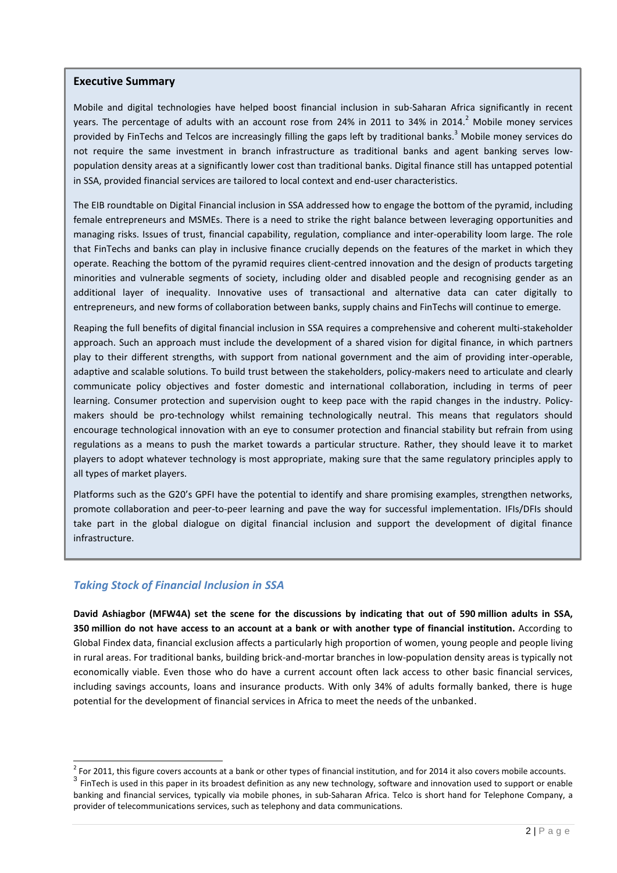#### **Executive Summary**

Mobile and digital technologies have helped boost financial inclusion in sub-Saharan Africa significantly in recent years. The percentage of adults with an account rose from 24% in 2011 to 34% in 2014.<sup>2</sup> Mobile money services provided by FinTechs and Telcos are increasingly filling the gaps left by traditional banks.<sup>3</sup> Mobile money services do not require the same investment in branch infrastructure as traditional banks and agent banking serves lowpopulation density areas at a significantly lower cost than traditional banks. Digital finance still has untapped potential in SSA, provided financial services are tailored to local context and end-user characteristics.

The EIB roundtable on Digital Financial inclusion in SSA addressed how to engage the bottom of the pyramid, including female entrepreneurs and MSMEs. There is a need to strike the right balance between leveraging opportunities and managing risks. Issues of trust, financial capability, regulation, compliance and inter-operability loom large. The role that FinTechs and banks can play in inclusive finance crucially depends on the features of the market in which they operate. Reaching the bottom of the pyramid requires client-centred innovation and the design of products targeting minorities and vulnerable segments of society, including older and disabled people and recognising gender as an additional layer of inequality. Innovative uses of transactional and alternative data can cater digitally to entrepreneurs, and new forms of collaboration between banks, supply chains and FinTechs will continue to emerge.

Reaping the full benefits of digital financial inclusion in SSA requires a comprehensive and coherent multi-stakeholder approach. Such an approach must include the development of a shared vision for digital finance, in which partners play to their different strengths, with support from national government and the aim of providing inter-operable, adaptive and scalable solutions. To build trust between the stakeholders, policy-makers need to articulate and clearly communicate policy objectives and foster domestic and international collaboration, including in terms of peer learning. Consumer protection and supervision ought to keep pace with the rapid changes in the industry. Policymakers should be pro-technology whilst remaining technologically neutral. This means that regulators should encourage technological innovation with an eye to consumer protection and financial stability but refrain from using regulations as a means to push the market towards a particular structure. Rather, they should leave it to market players to adopt whatever technology is most appropriate, making sure that the same regulatory principles apply to all types of market players.

Platforms such as the G20's GPFI have the potential to identify and share promising examples, strengthen networks, promote collaboration and peer-to-peer learning and pave the way for successful implementation. IFIs/DFIs should take part in the global dialogue on digital financial inclusion and support the development of digital finance infrastructure.

# *Taking Stock of Financial Inclusion in SSA*

**David Ashiagbor (MFW4A) set the scene for the discussions by indicating that out of 590 million adults in SSA, 350 million do not have access to an account at a bank or with another type of financial institution.** According to Global Findex data, financial exclusion affects a particularly high proportion of women, young people and people living in rural areas. For traditional banks, building brick-and-mortar branches in low-population density areas is typically not economically viable. Even those who do have a current account often lack access to other basic financial services, including savings accounts, loans and insurance products. With only 34% of adults formally banked, there is huge potential for the development of financial services in Africa to meet the needs of the unbanked.

 2 For 2011, this figure covers accounts at a bank or other types of financial institution, and for 2014 it also covers mobile accounts.

 $^3$  FinTech is used in this paper in its broadest definition as any new technology, software and innovation used to support or enable banking and financial services, typically via mobile phones, in sub-Saharan Africa. Telco is short hand for Telephone Company, a provider of telecommunications services, such as telephony and data communications.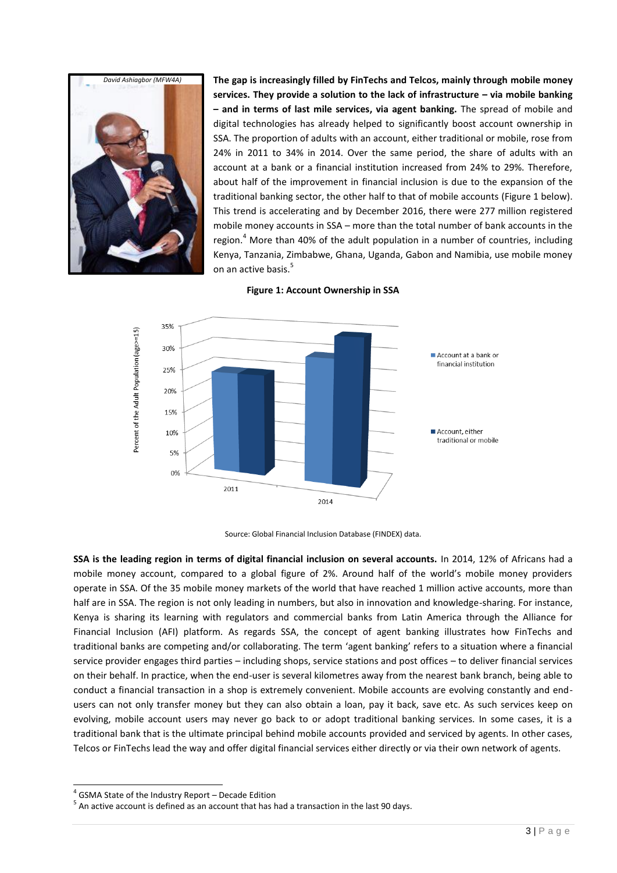

**The gap is increasingly filled by FinTechs and Telcos, mainly through mobile money services. They provide a solution to the lack of infrastructure – via mobile banking – and in terms of last mile services, via agent banking.** The spread of mobile and digital technologies has already helped to significantly boost account ownership in SSA. The proportion of adults with an account, either traditional or mobile, rose from 24% in 2011 to 34% in 2014. Over the same period, the share of adults with an account at a bank or a financial institution increased from 24% to 29%. Therefore, about half of the improvement in financial inclusion is due to the expansion of the traditional banking sector, the other half to that of mobile accounts (Figure 1 below). This trend is accelerating and by December 2016, there were 277 million registered mobile money accounts in SSA – more than the total number of bank accounts in the region. $<sup>4</sup>$  More than 40% of the adult population in a number of countries, including</sup> Kenya, Tanzania, Zimbabwe, Ghana, Uganda, Gabon and Namibia, use mobile money on an active basis.<sup>5</sup>



**Figure 1: Account Ownership in SSA**

Source: Global Financial Inclusion Database (FINDEX) data.

**SSA is the leading region in terms of digital financial inclusion on several accounts.** In 2014, 12% of Africans had a mobile money account, compared to a global figure of 2%. Around half of the world's mobile money providers operate in SSA. Of the 35 mobile money markets of the world that have reached 1 million active accounts, more than half are in SSA. The region is not only leading in numbers, but also in innovation and knowledge-sharing. For instance, Kenya is sharing its learning with regulators and commercial banks from Latin America through the Alliance for Financial Inclusion (AFI) platform. As regards SSA, the concept of agent banking illustrates how FinTechs and traditional banks are competing and/or collaborating. The term 'agent banking' refers to a situation where a financial service provider engages third parties – including shops, service stations and post offices – to deliver financial services on their behalf. In practice, when the end-user is several kilometres away from the nearest bank branch, being able to conduct a financial transaction in a shop is extremely convenient. Mobile accounts are evolving constantly and endusers can not only transfer money but they can also obtain a loan, pay it back, save etc. As such services keep on evolving, mobile account users may never go back to or adopt traditional banking services. In some cases, it is a traditional bank that is the ultimate principal behind mobile accounts provided and serviced by agents. In other cases, Telcos or FinTechs lead the way and offer digital financial services either directly or via their own network of agents.

l

<sup>&</sup>lt;sup>4</sup> GSMA State of the Industry Report – Decade Edition

 $<sup>5</sup>$  An active account is defined as an account that has had a transaction in the last 90 days.</sup>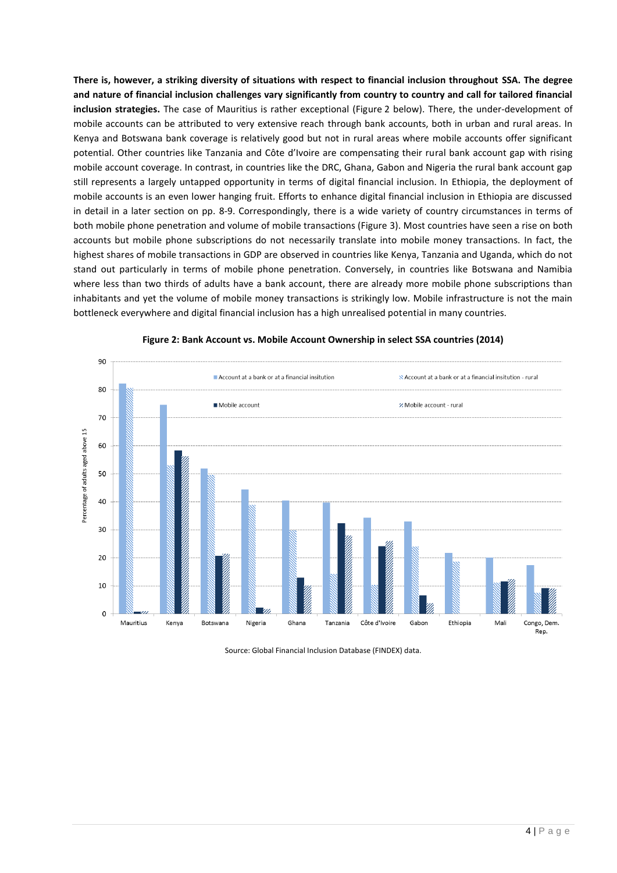**There is, however, a striking diversity of situations with respect to financial inclusion throughout SSA. The degree and nature of financial inclusion challenges vary significantly from country to country and call for tailored financial inclusion strategies.** The case of Mauritius is rather exceptional (Figure 2 below). There, the under-development of mobile accounts can be attributed to very extensive reach through bank accounts, both in urban and rural areas. In Kenya and Botswana bank coverage is relatively good but not in rural areas where mobile accounts offer significant potential. Other countries like Tanzania and Côte d'Ivoire are compensating their rural bank account gap with rising mobile account coverage. In contrast, in countries like the DRC, Ghana, Gabon and Nigeria the rural bank account gap still represents a largely untapped opportunity in terms of digital financial inclusion. In Ethiopia, the deployment of mobile accounts is an even lower hanging fruit. Efforts to enhance digital financial inclusion in Ethiopia are discussed in detail in a later section on pp. 8-9. Correspondingly, there is a wide variety of country circumstances in terms of both mobile phone penetration and volume of mobile transactions (Figure 3). Most countries have seen a rise on both accounts but mobile phone subscriptions do not necessarily translate into mobile money transactions. In fact, the highest shares of mobile transactions in GDP are observed in countries like Kenya, Tanzania and Uganda, which do not stand out particularly in terms of mobile phone penetration. Conversely, in countries like Botswana and Namibia where less than two thirds of adults have a bank account, there are already more mobile phone subscriptions than inhabitants and yet the volume of mobile money transactions is strikingly low. Mobile infrastructure is not the main bottleneck everywhere and digital financial inclusion has a high unrealised potential in many countries.



#### **Figure 2: Bank Account vs. Mobile Account Ownership in select SSA countries (2014)**

Source: Global Financial Inclusion Database (FINDEX) data.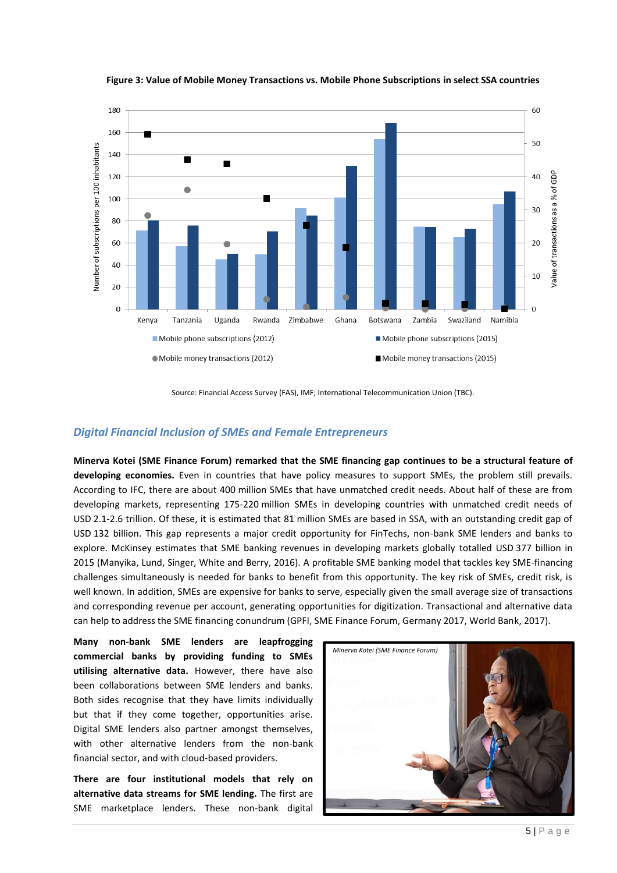

**Figure 3: Value of Mobile Money Transactions vs. Mobile Phone Subscriptions in select SSA countries**

Source: Financial Access Survey (FAS), IMF; International Telecommunication Union (TBC).

#### *Digital Financial Inclusion of SMEs and Female Entrepreneurs*

**Minerva Kotei (SME Finance Forum) remarked that the SME financing gap continues to be a structural feature of developing economies.** Even in countries that have policy measures to support SMEs, the problem still prevails. According to IFC, there are about 400 million SMEs that have unmatched credit needs. About half of these are from developing markets, representing 175-220 million SMEs in developing countries with unmatched credit needs of USD 2.1-2.6 trillion. Of these, it is estimated that 81 million SMEs are based in SSA, with an outstanding credit gap of USD 132 billion. This gap represents a major credit opportunity for FinTechs, non-bank SME lenders and banks to explore. McKinsey estimates that SME banking revenues in developing markets globally totalled USD 377 billion in 2015 (Manyika, Lund, Singer, White and Berry, 2016). A profitable SME banking model that tackles key SME-financing challenges simultaneously is needed for banks to benefit from this opportunity. The key risk of SMEs, credit risk, is well known. In addition, SMEs are expensive for banks to serve, especially given the small average size of transactions and corresponding revenue per account, generating opportunities for digitization. Transactional and alternative data can help to address the SME financing conundrum (GPFI, SME Finance Forum, Germany 2017, World Bank, 2017).

**Many non-bank SME lenders are leapfrogging commercial banks by providing funding to SMEs utilising alternative data.** However, there have also been collaborations between SME lenders and banks. Both sides recognise that they have limits individually but that if they come together, opportunities arise. Digital SME lenders also partner amongst themselves, with other alternative lenders from the non-bank financial sector, and with cloud-based providers.

**There are four institutional models that rely on alternative data streams for SME lending.** The first are SME marketplace lenders. These non-bank digital

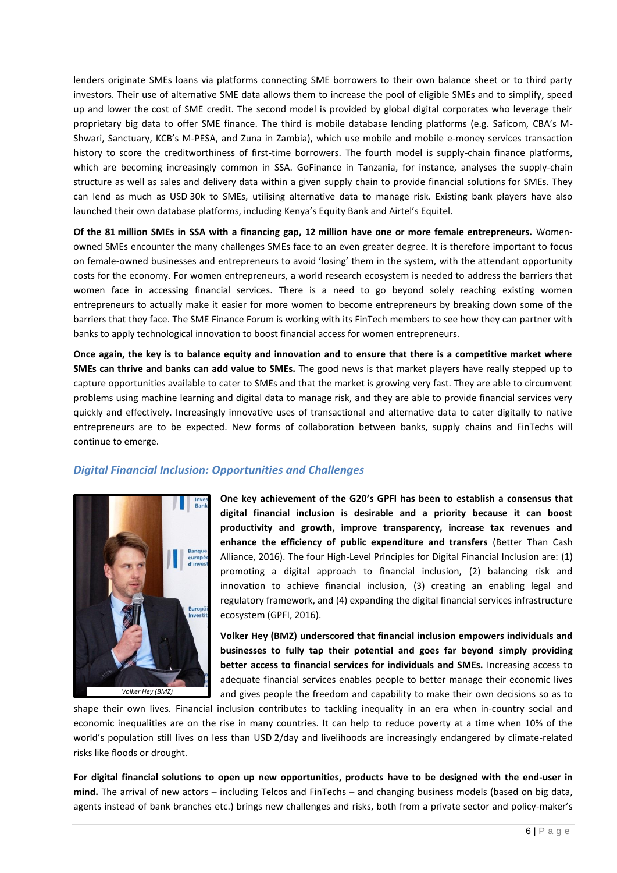lenders originate SMEs loans via platforms connecting SME borrowers to their own balance sheet or to third party investors. Their use of alternative SME data allows them to increase the pool of eligible SMEs and to simplify, speed up and lower the cost of SME credit. The second model is provided by global digital corporates who leverage their proprietary big data to offer SME finance. The third is mobile database lending platforms (e.g. Saficom, CBA's M-Shwari, Sanctuary, KCB's M-PESA, and Zuna in Zambia), which use mobile and mobile e-money services transaction history to score the creditworthiness of first-time borrowers. The fourth model is supply-chain finance platforms, which are becoming increasingly common in SSA. GoFinance in Tanzania, for instance, analyses the supply-chain structure as well as sales and delivery data within a given supply chain to provide financial solutions for SMEs. They can lend as much as USD 30k to SMEs, utilising alternative data to manage risk. Existing bank players have also launched their own database platforms, including Kenya's Equity Bank and Airtel's Equitel.

**Of the 81 million SMEs in SSA with a financing gap, 12 million have one or more female entrepreneurs.** Womenowned SMEs encounter the many challenges SMEs face to an even greater degree. It is therefore important to focus on female-owned businesses and entrepreneurs to avoid 'losing' them in the system, with the attendant opportunity costs for the economy. For women entrepreneurs, a world research ecosystem is needed to address the barriers that women face in accessing financial services. There is a need to go beyond solely reaching existing women entrepreneurs to actually make it easier for more women to become entrepreneurs by breaking down some of the barriers that they face. The SME Finance Forum is working with its FinTech members to see how they can partner with banks to apply technological innovation to boost financial access for women entrepreneurs.

**Once again, the key is to balance equity and innovation and to ensure that there is a competitive market where SMEs can thrive and banks can add value to SMEs.** The good news is that market players have really stepped up to capture opportunities available to cater to SMEs and that the market is growing very fast. They are able to circumvent problems using machine learning and digital data to manage risk, and they are able to provide financial services very quickly and effectively. Increasingly innovative uses of transactional and alternative data to cater digitally to native entrepreneurs are to be expected. New forms of collaboration between banks, supply chains and FinTechs will continue to emerge.

#### *Digital Financial Inclusion: Opportunities and Challenges*



**One key achievement of the G20's GPFI has been to establish a consensus that digital financial inclusion is desirable and a priority because it can boost productivity and growth, improve transparency, increase tax revenues and enhance the efficiency of public expenditure and transfers** (Better Than Cash Alliance, 2016). The four High-Level Principles for Digital Financial Inclusion are: (1) promoting a digital approach to financial inclusion, (2) balancing risk and innovation to achieve financial inclusion, (3) creating an enabling legal and regulatory framework, and (4) expanding the digital financial services infrastructure ecosystem (GPFI, 2016).

**Volker Hey (BMZ) underscored that financial inclusion empowers individuals and businesses to fully tap their potential and goes far beyond simply providing better access to financial services for individuals and SMEs.** Increasing access to adequate financial services enables people to better manage their economic lives and gives people the freedom and capability to make their own decisions so as to

shape their own lives. Financial inclusion contributes to tackling inequality in an era when in-country social and economic inequalities are on the rise in many countries. It can help to reduce poverty at a time when 10% of the world's population still lives on less than USD 2/day and livelihoods are increasingly endangered by climate-related risks like floods or drought.

**For digital financial solutions to open up new opportunities, products have to be designed with the end-user in mind.** The arrival of new actors – including Telcos and FinTechs – and changing business models (based on big data, agents instead of bank branches etc.) brings new challenges and risks, both from a private sector and policy-maker's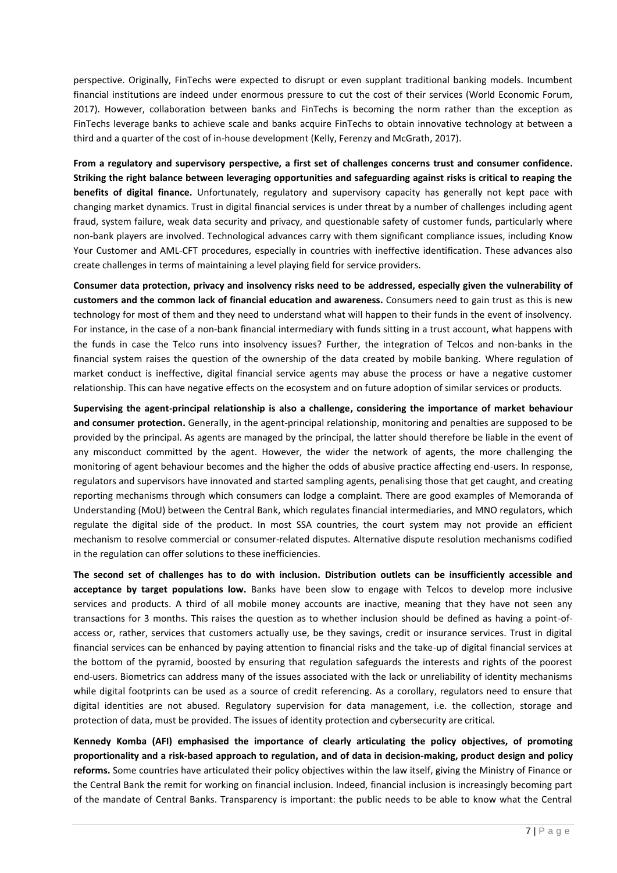perspective. Originally, FinTechs were expected to disrupt or even supplant traditional banking models. Incumbent financial institutions are indeed under enormous pressure to cut the cost of their services (World Economic Forum, 2017). However, collaboration between banks and FinTechs is becoming the norm rather than the exception as FinTechs leverage banks to achieve scale and banks acquire FinTechs to obtain innovative technology at between a third and a quarter of the cost of in-house development (Kelly, Ferenzy and McGrath, 2017).

**From a regulatory and supervisory perspective, a first set of challenges concerns trust and consumer confidence. Striking the right balance between leveraging opportunities and safeguarding against risks is critical to reaping the benefits of digital finance.** Unfortunately, regulatory and supervisory capacity has generally not kept pace with changing market dynamics. Trust in digital financial services is under threat by a number of challenges including agent fraud, system failure, weak data security and privacy, and questionable safety of customer funds, particularly where non-bank players are involved. Technological advances carry with them significant compliance issues, including Know Your Customer and AML-CFT procedures, especially in countries with ineffective identification. These advances also create challenges in terms of maintaining a level playing field for service providers.

**Consumer data protection, privacy and insolvency risks need to be addressed, especially given the vulnerability of customers and the common lack of financial education and awareness.** Consumers need to gain trust as this is new technology for most of them and they need to understand what will happen to their funds in the event of insolvency. For instance, in the case of a non-bank financial intermediary with funds sitting in a trust account, what happens with the funds in case the Telco runs into insolvency issues? Further, the integration of Telcos and non-banks in the financial system raises the question of the ownership of the data created by mobile banking. Where regulation of market conduct is ineffective, digital financial service agents may abuse the process or have a negative customer relationship. This can have negative effects on the ecosystem and on future adoption of similar services or products.

**Supervising the agent-principal relationship is also a challenge, considering the importance of market behaviour and consumer protection.** Generally, in the agent-principal relationship, monitoring and penalties are supposed to be provided by the principal. As agents are managed by the principal, the latter should therefore be liable in the event of any misconduct committed by the agent. However, the wider the network of agents, the more challenging the monitoring of agent behaviour becomes and the higher the odds of abusive practice affecting end-users. In response, regulators and supervisors have innovated and started sampling agents, penalising those that get caught, and creating reporting mechanisms through which consumers can lodge a complaint. There are good examples of Memoranda of Understanding (MoU) between the Central Bank, which regulates financial intermediaries, and MNO regulators, which regulate the digital side of the product. In most SSA countries, the court system may not provide an efficient mechanism to resolve commercial or consumer-related disputes. Alternative dispute resolution mechanisms codified in the regulation can offer solutions to these inefficiencies.

**The second set of challenges has to do with inclusion. Distribution outlets can be insufficiently accessible and acceptance by target populations low.** Banks have been slow to engage with Telcos to develop more inclusive services and products. A third of all mobile money accounts are inactive, meaning that they have not seen any transactions for 3 months. This raises the question as to whether inclusion should be defined as having a point-ofaccess or, rather, services that customers actually use, be they savings, credit or insurance services. Trust in digital financial services can be enhanced by paying attention to financial risks and the take-up of digital financial services at the bottom of the pyramid, boosted by ensuring that regulation safeguards the interests and rights of the poorest end-users. Biometrics can address many of the issues associated with the lack or unreliability of identity mechanisms while digital footprints can be used as a source of credit referencing. As a corollary, regulators need to ensure that digital identities are not abused. Regulatory supervision for data management, i.e. the collection, storage and protection of data, must be provided. The issues of identity protection and cybersecurity are critical.

**Kennedy Komba (AFI) emphasised the importance of clearly articulating the policy objectives, of promoting proportionality and a risk-based approach to regulation, and of data in decision-making, product design and policy reforms.** Some countries have articulated their policy objectives within the law itself, giving the Ministry of Finance or the Central Bank the remit for working on financial inclusion. Indeed, financial inclusion is increasingly becoming part of the mandate of Central Banks. Transparency is important: the public needs to be able to know what the Central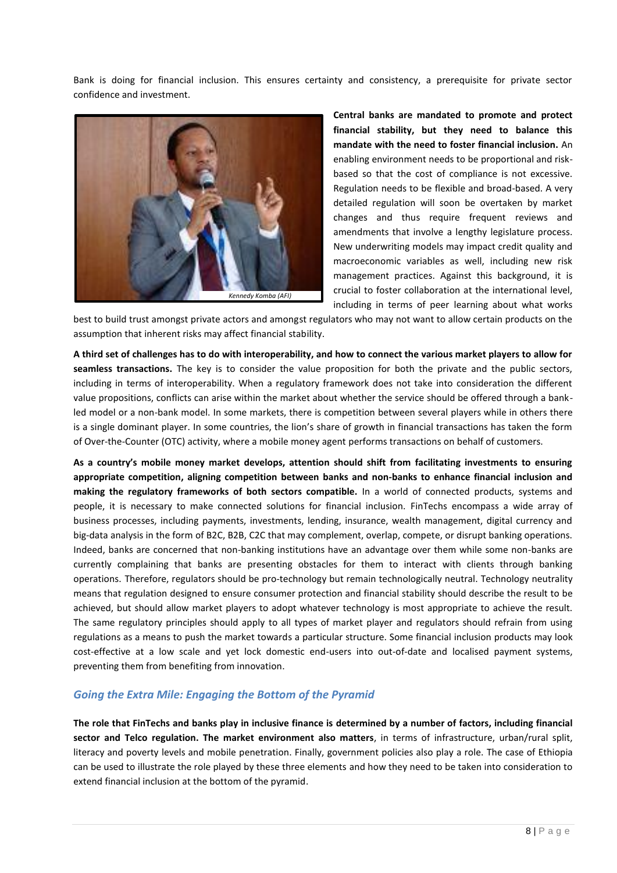Bank is doing for financial inclusion. This ensures certainty and consistency, a prerequisite for private sector confidence and investment.



**Central banks are mandated to promote and protect financial stability, but they need to balance this mandate with the need to foster financial inclusion.** An enabling environment needs to be proportional and riskbased so that the cost of compliance is not excessive. Regulation needs to be flexible and broad-based. A very detailed regulation will soon be overtaken by market changes and thus require frequent reviews and amendments that involve a lengthy legislature process. New underwriting models may impact credit quality and macroeconomic variables as well, including new risk management practices. Against this background, it is crucial to foster collaboration at the international level, including in terms of peer learning about what works

best to build trust amongst private actors and amongst regulators who may not want to allow certain products on the assumption that inherent risks may affect financial stability.

**A third set of challenges has to do with interoperability, and how to connect the various market players to allow for seamless transactions.** The key is to consider the value proposition for both the private and the public sectors, including in terms of interoperability. When a regulatory framework does not take into consideration the different value propositions, conflicts can arise within the market about whether the service should be offered through a bankled model or a non-bank model. In some markets, there is competition between several players while in others there is a single dominant player. In some countries, the lion's share of growth in financial transactions has taken the form of Over-the-Counter (OTC) activity, where a mobile money agent performs transactions on behalf of customers.

**As a country's mobile money market develops, attention should shift from facilitating investments to ensuring appropriate competition, aligning competition between banks and non-banks to enhance financial inclusion and making the regulatory frameworks of both sectors compatible.** In a world of connected products, systems and people, it is necessary to make connected solutions for financial inclusion. FinTechs encompass a wide array of business processes, including payments, investments, lending, insurance, wealth management, digital currency and big-data analysis in the form of B2C, B2B, C2C that may complement, overlap, compete, or disrupt banking operations. Indeed, banks are concerned that non-banking institutions have an advantage over them while some non-banks are currently complaining that banks are presenting obstacles for them to interact with clients through banking operations. Therefore, regulators should be pro-technology but remain technologically neutral. Technology neutrality means that regulation designed to ensure consumer protection and financial stability should describe the result to be achieved, but should allow market players to adopt whatever technology is most appropriate to achieve the result. The same regulatory principles should apply to all types of market player and regulators should refrain from using regulations as a means to push the market towards a particular structure. Some financial inclusion products may look cost-effective at a low scale and yet lock domestic end-users into out-of-date and localised payment systems, preventing them from benefiting from innovation.

#### *Going the Extra Mile: Engaging the Bottom of the Pyramid*

**The role that FinTechs and banks play in inclusive finance is determined by a number of factors, including financial sector and Telco regulation. The market environment also matters**, in terms of infrastructure, urban/rural split, literacy and poverty levels and mobile penetration. Finally, government policies also play a role. The case of Ethiopia can be used to illustrate the role played by these three elements and how they need to be taken into consideration to extend financial inclusion at the bottom of the pyramid.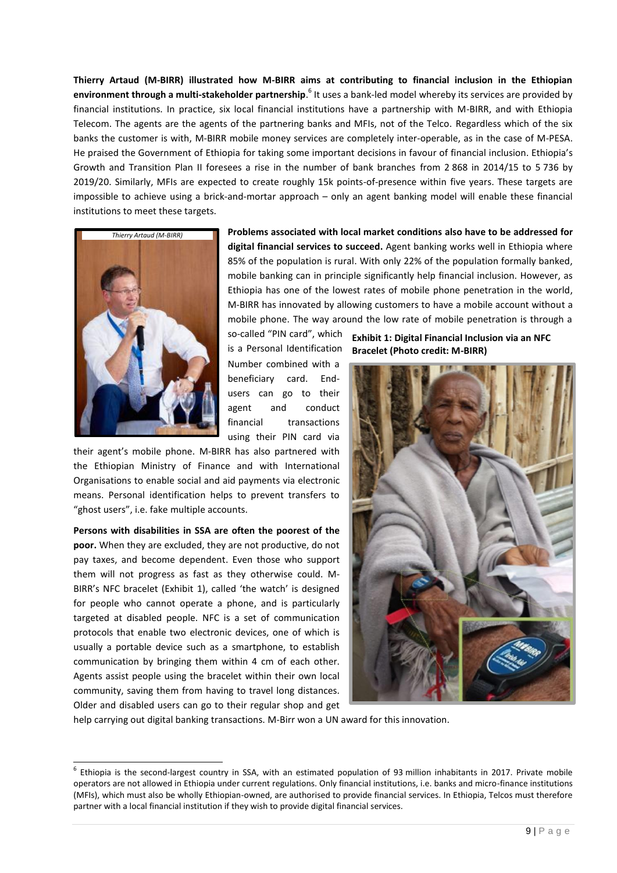**Thierry Artaud (M-BIRR) illustrated how M-BIRR aims at contributing to financial inclusion in the Ethiopian environment through a multi-stakeholder partnership**.<sup>6</sup> It uses a bank-led model whereby its services are provided by financial institutions. In practice, six local financial institutions have a partnership with M-BIRR, and with Ethiopia Telecom. The agents are the agents of the partnering banks and MFIs, not of the Telco. Regardless which of the six banks the customer is with, M-BIRR mobile money services are completely inter-operable, as in the case of M-PESA. He praised the Government of Ethiopia for taking some important decisions in favour of financial inclusion. Ethiopia's Growth and Transition Plan II foresees a rise in the number of bank branches from 2 868 in 2014/15 to 5 736 by 2019/20. Similarly, MFIs are expected to create roughly 15k points-of-presence within five years. These targets are impossible to achieve using a brick-and-mortar approach – only an agent banking model will enable these financial institutions to meet these targets.



l

**Problems associated with local market conditions also have to be addressed for digital financial services to succeed.** Agent banking works well in Ethiopia where 85% of the population is rural. With only 22% of the population formally banked, mobile banking can in principle significantly help financial inclusion. However, as Ethiopia has one of the lowest rates of mobile phone penetration in the world, M-BIRR has innovated by allowing customers to have a mobile account without a mobile phone. The way around the low rate of mobile penetration is through a

so-called "PIN card", which is a Personal Identification Number combined with a beneficiary card. Endusers can go to their agent and conduct financial transactions using their PIN card via

their agent's mobile phone. M-BIRR has also partnered with the Ethiopian Ministry of Finance and with International Organisations to enable social and aid payments via electronic means. Personal identification helps to prevent transfers to "ghost users", i.e. fake multiple accounts.

**Persons with disabilities in SSA are often the poorest of the poor.** When they are excluded, they are not productive, do not pay taxes, and become dependent. Even those who support them will not progress as fast as they otherwise could. M-BIRR's NFC bracelet (Exhibit 1), called 'the watch' is designed for people who cannot operate a phone, and is particularly targeted at disabled people. NFC is a set of [communication](https://en.wikipedia.org/wiki/Communications_protocol)  [protocols](https://en.wikipedia.org/wiki/Communications_protocol) that enable two electronic devices, one of which is usually a portable device such as a [smartphone,](https://en.wikipedia.org/wiki/Smartphone) to establish [communication](https://en.wikipedia.org/wiki/Data_communication) by bringing them within 4 cm of each other. Agents assist people using the bracelet within their own local community, saving them from having to travel long distances. Older and disabled users can go to their regular shop and get

**Exhibit 1: Digital Financial Inclusion via an NFC Bracelet (Photo credit: M-BIRR)**



help carrying out digital banking transactions. M-Birr won a UN award for this innovation.

 $^6$  Ethiopia is the second-largest country in SSA, with an estimated population of 93 million inhabitants in 2017. Private mobile operators are not allowed in Ethiopia under current regulations. Only financial institutions, i.e. banks and micro-finance institutions (MFIs), which must also be wholly Ethiopian-owned, are authorised to provide financial services. In Ethiopia, Telcos must therefore partner with a local financial institution if they wish to provide digital financial services.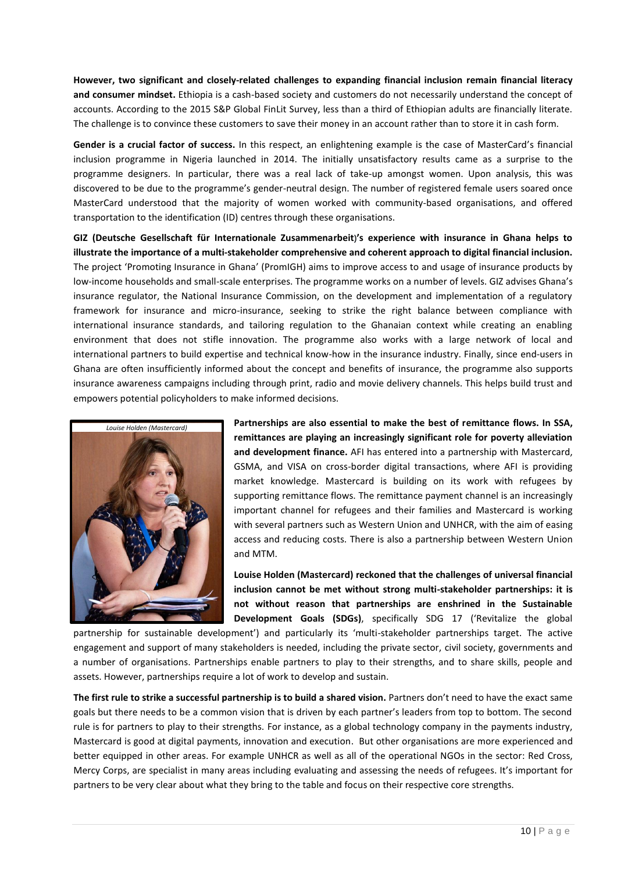**However, two significant and closely-related challenges to expanding financial inclusion remain financial literacy and consumer mindset.** Ethiopia is a cash-based society and customers do not necessarily understand the concept of accounts. According to the 2015 S&P Global FinLit Survey, less than a third of Ethiopian adults are financially literate. The challenge is to convince these customers to save their money in an account rather than to store it in cash form.

**Gender is a crucial factor of success.** In this respect, an enlightening example is the case of MasterCard's financial inclusion programme in Nigeria launched in 2014. The initially unsatisfactory results came as a surprise to the programme designers. In particular, there was a real lack of take-up amongst women. Upon analysis, this was discovered to be due to the programme's gender-neutral design. The number of registered female users soared once MasterCard understood that the majority of women worked with community-based organisations, and offered transportation to the identification (ID) centres through these organisations.

**GIZ (Deutsche Gesellschaft für Internationale Zusammenarbeit)'s experience with insurance in Ghana helps to illustrate the importance of a multi-stakeholder comprehensive and coherent approach to digital financial inclusion.**  The project 'Promoting Insurance in Ghana' (PromIGH) aims to improve access to and usage of insurance products by low-income households and small-scale enterprises. The programme works on a number of levels. GIZ advises Ghana's insurance regulator, the National Insurance Commission, on the development and implementation of a regulatory framework for insurance and micro-insurance, seeking to strike the right balance between compliance with international insurance standards, and tailoring regulation to the Ghanaian context while creating an enabling environment that does not stifle innovation. The programme also works with a large network of local and international partners to build expertise and technical know-how in the insurance industry. Finally, since end-users in Ghana are often insufficiently informed about the concept and benefits of insurance, the programme also supports insurance awareness campaigns including through print, radio and movie delivery channels. This helps build trust and empowers potential policyholders to make informed decisions.



**Partnerships are also essential to make the best of remittance flows. In SSA, remittances are playing an increasingly significant role for poverty alleviation and development finance.** AFI has entered into a partnership with Mastercard, GSMA, and VISA on cross-border digital transactions, where AFI is providing market knowledge. Mastercard is building on its work with refugees by supporting remittance flows. The remittance payment channel is an increasingly important channel for refugees and their families and Mastercard is working with several partners such as Western Union and UNHCR, with the aim of easing access and reducing costs. There is also a partnership between Western Union and MTM.

**Louise Holden (Mastercard) reckoned that the challenges of universal financial inclusion cannot be met without strong multi-stakeholder partnerships: it is not without reason that partnerships are enshrined in the Sustainable Development Goals (SDGs)**, specifically SDG 17 ('Revitalize the global

partnership for sustainable development') and particularly its 'multi-stakeholder partnerships target. The active engagement and support of many stakeholders is needed, including the private sector, civil society, governments and a number of organisations. Partnerships enable partners to play to their strengths, and to share skills, people and assets. However, partnerships require a lot of work to develop and sustain.

**The first rule to strike a successful partnership is to build a shared vision.** Partners don't need to have the exact same goals but there needs to be a common vision that is driven by each partner's leaders from top to bottom. The second rule is for partners to play to their strengths. For instance, as a global technology company in the payments industry, Mastercard is good at digital payments, innovation and execution. But other organisations are more experienced and better equipped in other areas. For example UNHCR as well as all of the operational NGOs in the sector: Red Cross, Mercy Corps, are specialist in many areas including evaluating and assessing the needs of refugees. It's important for partners to be very clear about what they bring to the table and focus on their respective core strengths.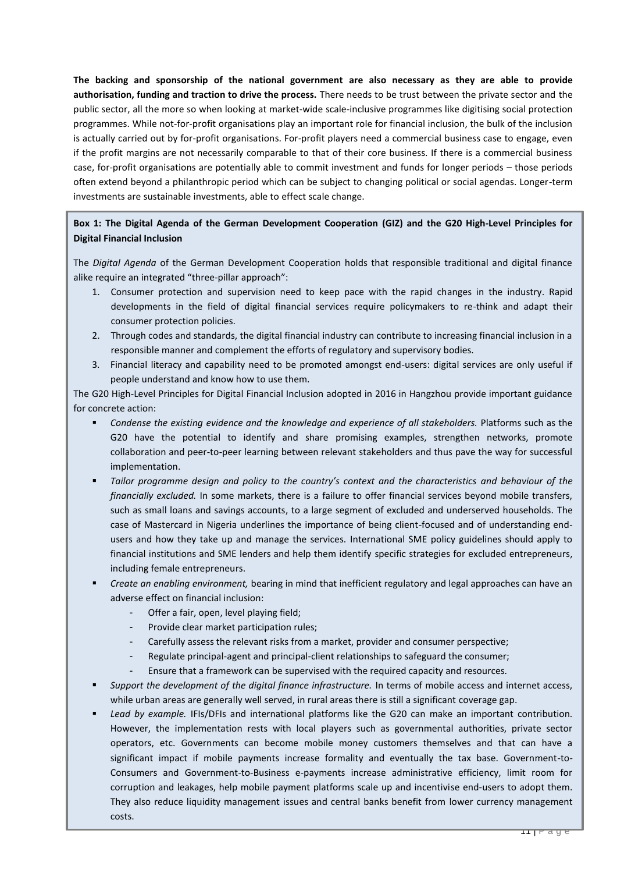**The backing and sponsorship of the national government are also necessary as they are able to provide authorisation, funding and traction to drive the process.** There needs to be trust between the private sector and the public sector, all the more so when looking at market-wide scale-inclusive programmes like digitising social protection programmes. While not-for-profit organisations play an important role for financial inclusion, the bulk of the inclusion is actually carried out by for-profit organisations. For-profit players need a commercial business case to engage, even if the profit margins are not necessarily comparable to that of their core business. If there is a commercial business case, for-profit organisations are potentially able to commit investment and funds for longer periods – those periods often extend beyond a philanthropic period which can be subject to changing political or social agendas. Longer-term investments are sustainable investments, able to effect scale change.

### **Box 1: The Digital Agenda of the German Development Cooperation (GIZ) and the G20 High-Level Principles for Digital Financial Inclusion**

The *Digital Agenda* of the German Development Cooperation holds that responsible traditional and digital finance alike require an integrated "three-pillar approach":

- 1. Consumer protection and supervision need to keep pace with the rapid changes in the industry. Rapid developments in the field of digital financial services require policymakers to re-think and adapt their consumer protection policies.
- 2. Through codes and standards, the digital financial industry can contribute to increasing financial inclusion in a responsible manner and complement the efforts of regulatory and supervisory bodies.
- 3. Financial literacy and capability need to be promoted amongst end-users: digital services are only useful if people understand and know how to use them.

The G20 High-Level Principles for Digital Financial Inclusion adopted in 2016 in Hangzhou provide important guidance for concrete action:

- *Condense the existing evidence and the knowledge and experience of all stakeholders.* Platforms such as the G20 have the potential to identify and share promising examples, strengthen networks, promote collaboration and peer-to-peer learning between relevant stakeholders and thus pave the way for successful implementation.
- *Tailor programme design and policy to the country's context and the characteristics and behaviour of the financially excluded.* In some markets, there is a failure to offer financial services beyond mobile transfers, such as small loans and savings accounts, to a large segment of excluded and underserved households. The case of Mastercard in Nigeria underlines the importance of being client-focused and of understanding endusers and how they take up and manage the services. International SME policy guidelines should apply to financial institutions and SME lenders and help them identify specific strategies for excluded entrepreneurs, including female entrepreneurs.
- *Create an enabling environment,* bearing in mind that inefficient regulatory and legal approaches can have an adverse effect on financial inclusion:
	- Offer a fair, open, level playing field;
	- Provide clear market participation rules;
	- Carefully assess the relevant risks from a market, provider and consumer perspective;
	- Regulate principal-agent and principal-client relationships to safeguard the consumer;
	- Ensure that a framework can be supervised with the required capacity and resources.
- *Support the development of the digital finance infrastructure.* In terms of mobile access and internet access, while urban areas are generally well served, in rural areas there is still a significant coverage gap.
- *Lead by example.* IFIs/DFIs and international platforms like the G20 can make an important contribution. However, the implementation rests with local players such as governmental authorities, private sector operators, etc. Governments can become mobile money customers themselves and that can have a significant impact if mobile payments increase formality and eventually the tax base. Government-to-Consumers and Government-to-Business e-payments increase administrative efficiency, limit room for corruption and leakages, help mobile payment platforms scale up and incentivise end-users to adopt them. They also reduce liquidity management issues and central banks benefit from lower currency management costs.